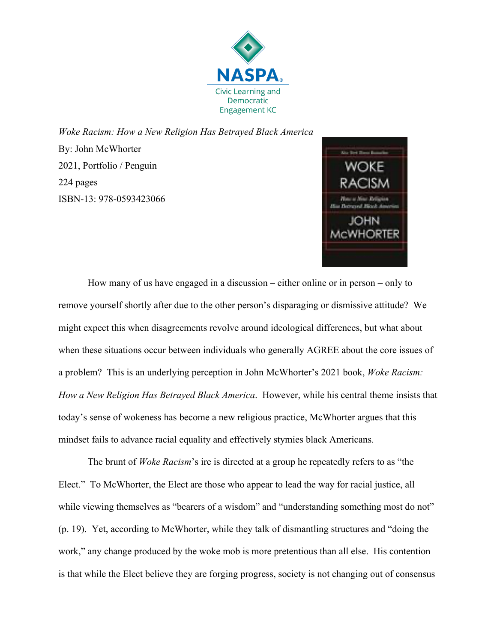

*Woke Racism: How a New Religion Has Betrayed Black America* By: John McWhorter 2021, Portfolio / Penguin 224 pages ISBN-13: 978-0593423066



How many of us have engaged in a discussion – either online or in person – only to remove yourself shortly after due to the other person's disparaging or dismissive attitude? We might expect this when disagreements revolve around ideological differences, but what about when these situations occur between individuals who generally AGREE about the core issues of a problem? This is an underlying perception in John McWhorter's 2021 book, *Woke Racism: How a New Religion Has Betrayed Black America*. However, while his central theme insists that today's sense of wokeness has become a new religious practice, McWhorter argues that this mindset fails to advance racial equality and effectively stymies black Americans.

The brunt of *Woke Racism*'s ire is directed at a group he repeatedly refers to as "the Elect." To McWhorter, the Elect are those who appear to lead the way for racial justice, all while viewing themselves as "bearers of a wisdom" and "understanding something most do not" (p. 19). Yet, according to McWhorter, while they talk of dismantling structures and "doing the work," any change produced by the woke mob is more pretentious than all else. His contention is that while the Elect believe they are forging progress, society is not changing out of consensus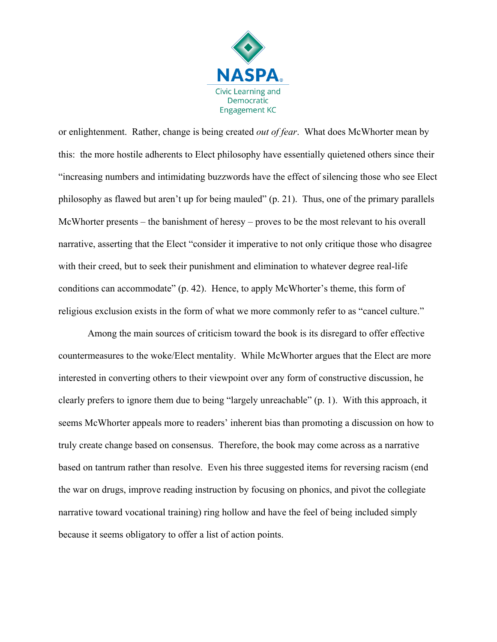

or enlightenment. Rather, change is being created *out of fear*. What does McWhorter mean by this: the more hostile adherents to Elect philosophy have essentially quietened others since their "increasing numbers and intimidating buzzwords have the effect of silencing those who see Elect philosophy as flawed but aren't up for being mauled" (p. 21). Thus, one of the primary parallels McWhorter presents – the banishment of heresy – proves to be the most relevant to his overall narrative, asserting that the Elect "consider it imperative to not only critique those who disagree with their creed, but to seek their punishment and elimination to whatever degree real-life conditions can accommodate" (p. 42). Hence, to apply McWhorter's theme, this form of religious exclusion exists in the form of what we more commonly refer to as "cancel culture."

Among the main sources of criticism toward the book is its disregard to offer effective countermeasures to the woke/Elect mentality. While McWhorter argues that the Elect are more interested in converting others to their viewpoint over any form of constructive discussion, he clearly prefers to ignore them due to being "largely unreachable" (p. 1). With this approach, it seems McWhorter appeals more to readers' inherent bias than promoting a discussion on how to truly create change based on consensus. Therefore, the book may come across as a narrative based on tantrum rather than resolve. Even his three suggested items for reversing racism (end the war on drugs, improve reading instruction by focusing on phonics, and pivot the collegiate narrative toward vocational training) ring hollow and have the feel of being included simply because it seems obligatory to offer a list of action points.